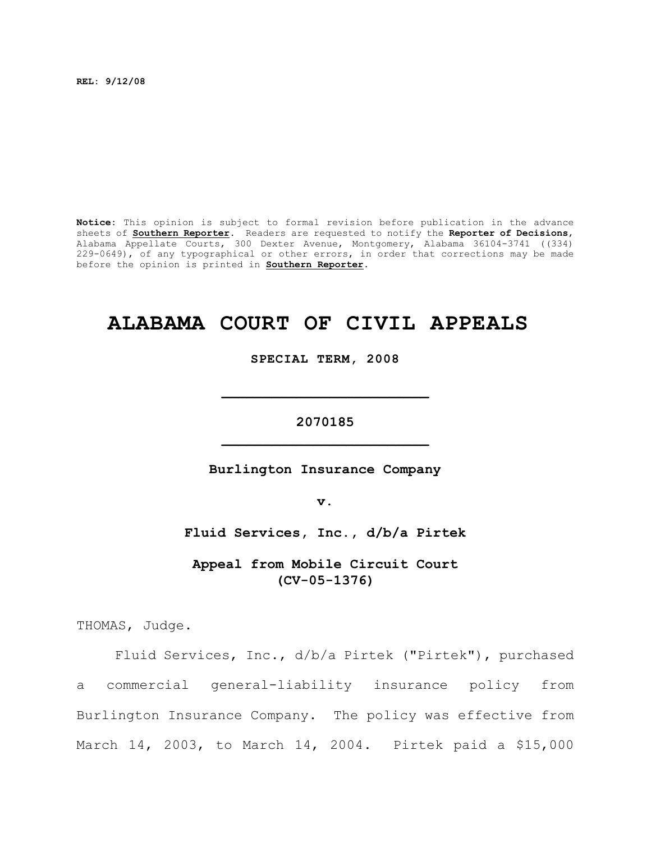**REL: 9/12/08**

**Notice:** This opinion is subject to formal revision before publication in the advance sheets of **Southern Reporter**. Readers are requested to notify the **Reporter of Decisions**, Alabama Appellate Courts, 300 Dexter Avenue, Montgomery, Alabama 36104-3741 ((334) 229-0649), of any typographical or other errors, in order that corrections may be made before the opinion is printed in **Southern Reporter**.

# **ALABAMA COURT OF CIVIL APPEALS**

**SPECIAL TERM, 2008**

**\_\_\_\_\_\_\_\_\_\_\_\_\_\_\_\_\_\_\_\_\_\_\_\_\_**

**2070185 \_\_\_\_\_\_\_\_\_\_\_\_\_\_\_\_\_\_\_\_\_\_\_\_\_**

**Burlington Insurance Company**

**v.**

**Fluid Services, Inc., d/b/a Pirtek**

**Appeal from Mobile Circuit Court (CV-05-1376)**

THOMAS, Judge.

Fluid Services, Inc., d/b/a Pirtek ("Pirtek"), purchased a commercial general-liability insurance policy from Burlington Insurance Company. The policy was effective from March 14, 2003, to March 14, 2004. Pirtek paid a \$15,000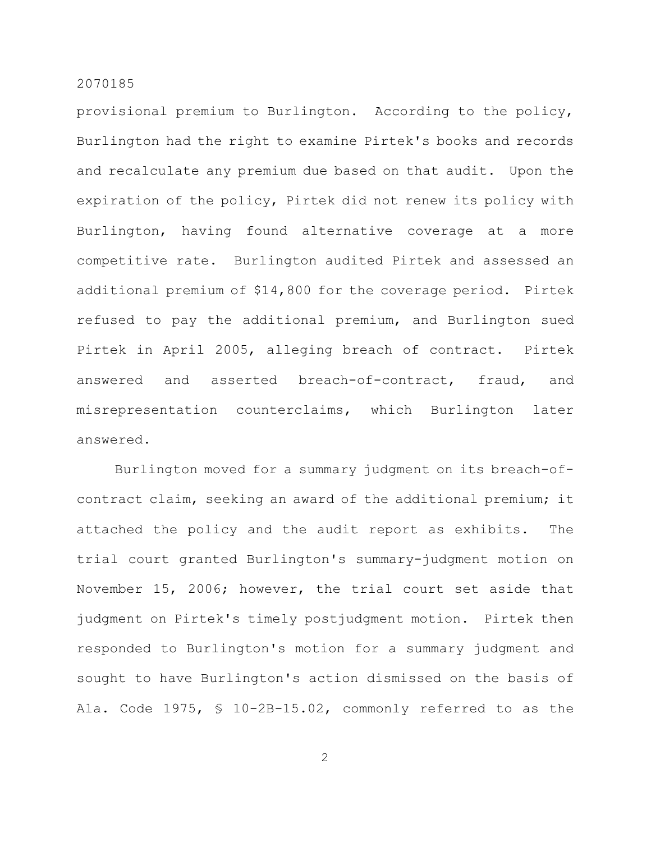provisional premium to Burlington. According to the policy, Burlington had the right to examine Pirtek's books and records and recalculate any premium due based on that audit. Upon the expiration of the policy, Pirtek did not renew its policy with Burlington, having found alternative coverage at a more competitive rate. Burlington audited Pirtek and assessed an additional premium of \$14,800 for the coverage period. Pirtek refused to pay the additional premium, and Burlington sued Pirtek in April 2005, alleging breach of contract. Pirtek answered and asserted breach-of-contract, fraud, and misrepresentation counterclaims, which Burlington later answered.

Burlington moved for a summary judgment on its breach-ofcontract claim, seeking an award of the additional premium; it attached the policy and the audit report as exhibits. The trial court granted Burlington's summary-judgment motion on November 15, 2006; however, the trial court set aside that judgment on Pirtek's timely postjudgment motion. Pirtek then responded to Burlington's motion for a summary judgment and sought to have Burlington's action dismissed on the basis of Ala. Code 1975, § 10-2B-15.02, commonly referred to as the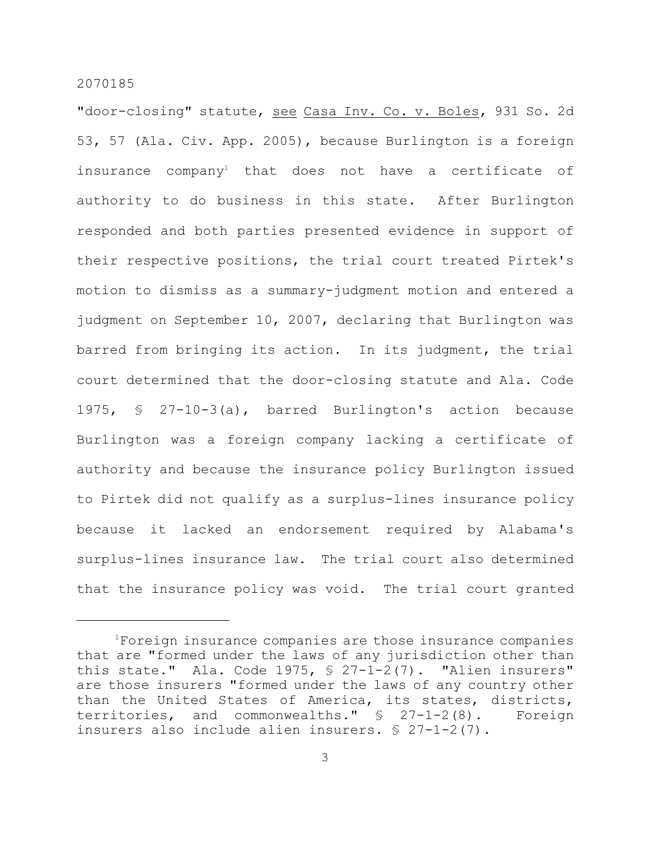"door-closing" statute, see Casa Inv. Co. v. Boles, 931 So. 2d 53, 57 (Ala. Civ. App. 2005), because Burlington is a foreign insurance company<sup>1</sup> that does not have a certificate of authority to do business in this state. After Burlington responded and both parties presented evidence in support of their respective positions, the trial court treated Pirtek's motion to dismiss as a summary-judgment motion and entered a judgment on September 10, 2007, declaring that Burlington was barred from bringing its action. In its judgment, the trial court determined that the door-closing statute and Ala. Code 1975, § 27-10-3(a), barred Burlington's action because Burlington was a foreign company lacking a certificate of authority and because the insurance policy Burlington issued to Pirtek did not qualify as a surplus-lines insurance policy because it lacked an endorsement required by Alabama's surplus-lines insurance law. The trial court also determined that the insurance policy was void. The trial court granted

 $1$ Foreign insurance companies are those insurance companies that are "formed under the laws of any jurisdiction other than this state." Ala. Code 1975,  $\S$  27-1-2(7). "Alien insurers" are those insurers "formed under the laws of any country other than the United States of America, its states, districts, territories, and commonwealths." § 27-1-2(8). Foreign insurers also include alien insurers. § 27-1-2(7).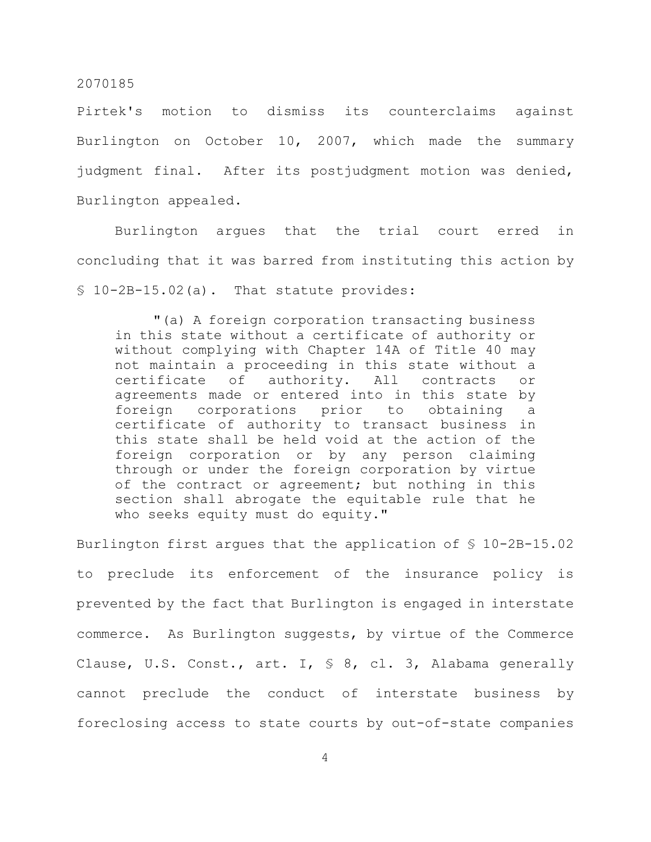Pirtek's motion to dismiss its counterclaims against Burlington on October 10, 2007, which made the summary judgment final. After its postjudgment motion was denied, Burlington appealed.

Burlington argues that the trial court erred in concluding that it was barred from instituting this action by § 10-2B-15.02(a). That statute provides:

"(a) A foreign corporation transacting business in this state without a certificate of authority or without complying with Chapter 14A of Title 40 may not maintain a proceeding in this state without a certificate of authority. All contracts or agreements made or entered into in this state by foreign corporations prior to obtaining a certificate of authority to transact business in this state shall be held void at the action of the foreign corporation or by any person claiming through or under the foreign corporation by virtue of the contract or agreement; but nothing in this section shall abrogate the equitable rule that he who seeks equity must do equity."

Burlington first argues that the application of § 10-2B-15.02 to preclude its enforcement of the insurance policy is prevented by the fact that Burlington is engaged in interstate commerce. As Burlington suggests, by virtue of the Commerce Clause, U.S. Const., art. I, § 8, cl. 3, Alabama generally cannot preclude the conduct of interstate business by foreclosing access to state courts by out-of-state companies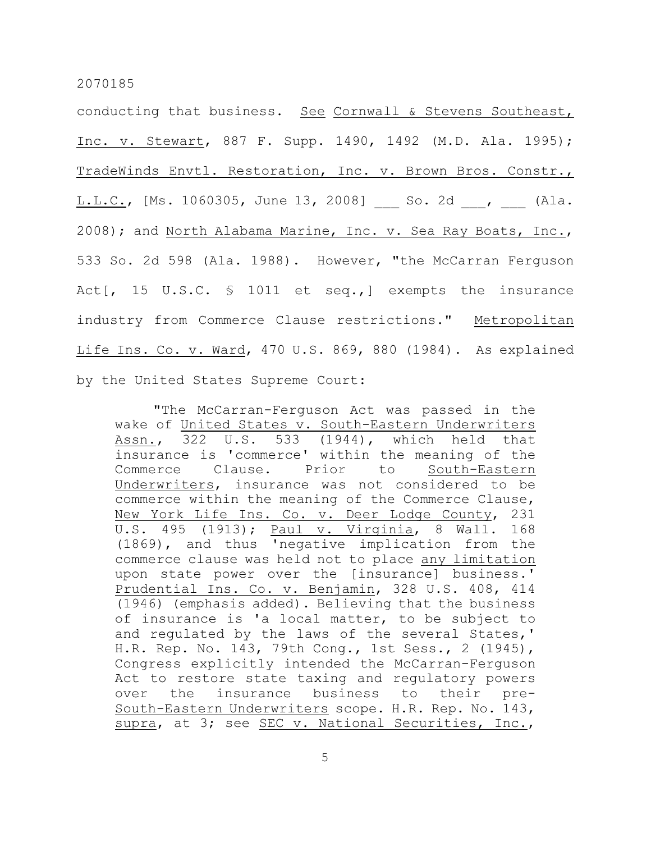conducting that business. See Cornwall & Stevens Southeast, Inc. v. Stewart, 887 F. Supp. 1490, 1492 (M.D. Ala. 1995); TradeWinds Envtl. Restoration, Inc. v. Brown Bros. Constr., L.L.C., [Ms. 1060305, June 13, 2008] So. 2d , (Ala. 2008); and North Alabama Marine, Inc. v. Sea Ray Boats, Inc., 533 So. 2d 598 (Ala. 1988). However, "the McCarran Ferguson Act[, 15 U.S.C. § 1011 et seq.,] exempts the insurance industry from Commerce Clause restrictions." Metropolitan Life Ins. Co. v. Ward, 470 U.S. 869, 880 (1984). As explained by the United States Supreme Court:

"The McCarran-Ferguson Act was passed in the wake of United States v. South-Eastern Underwriters Assn., 322 U.S. 533 (1944), which held that insurance is 'commerce' within the meaning of the Commerce Clause. Prior to South-Eastern Underwriters, insurance was not considered to be commerce within the meaning of the Commerce Clause, New York Life Ins. Co. v. Deer Lodge County, 231 U.S. 495 (1913); Paul v. Virginia, 8 Wall. 168 (1869), and thus 'negative implication from the commerce clause was held not to place any limitation upon state power over the [insurance] business.' Prudential Ins. Co. v. Benjamin, 328 U.S. 408, 414 (1946) (emphasis added). Believing that the business of insurance is 'a local matter, to be subject to and regulated by the laws of the several States,' H.R. Rep. No. 143, 79th Cong., 1st Sess., 2 (1945), Congress explicitly intended the McCarran-Ferguson Act to restore state taxing and regulatory powers over the insurance business to their pre-South-Eastern Underwriters scope. H.R. Rep. No. 143, supra, at 3; see SEC v. National Securities, Inc.,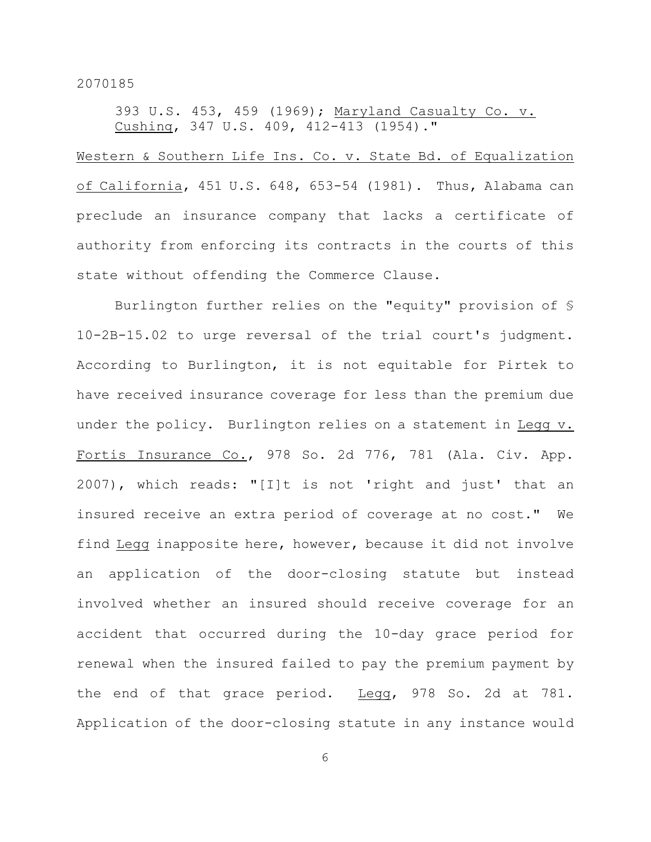393 U.S. 453, 459 (1969); Maryland Casualty Co. v. Cushing, 347 U.S. 409, 412-413 (1954)."

Western & Southern Life Ins. Co. v. State Bd. of Equalization of California, 451 U.S. 648, 653-54 (1981). Thus, Alabama can preclude an insurance company that lacks a certificate of authority from enforcing its contracts in the courts of this state without offending the Commerce Clause.

Burlington further relies on the "equity" provision of § 10-2B-15.02 to urge reversal of the trial court's judgment. According to Burlington, it is not equitable for Pirtek to have received insurance coverage for less than the premium due under the policy. Burlington relies on a statement in Legg v. Fortis Insurance Co., 978 So. 2d 776, 781 (Ala. Civ. App. 2007), which reads: "[I]t is not 'right and just' that an insured receive an extra period of coverage at no cost." We find Legg inapposite here, however, because it did not involve an application of the door-closing statute but instead involved whether an insured should receive coverage for an accident that occurred during the 10-day grace period for renewal when the insured failed to pay the premium payment by the end of that grace period. Legg, 978 So. 2d at 781. Application of the door-closing statute in any instance would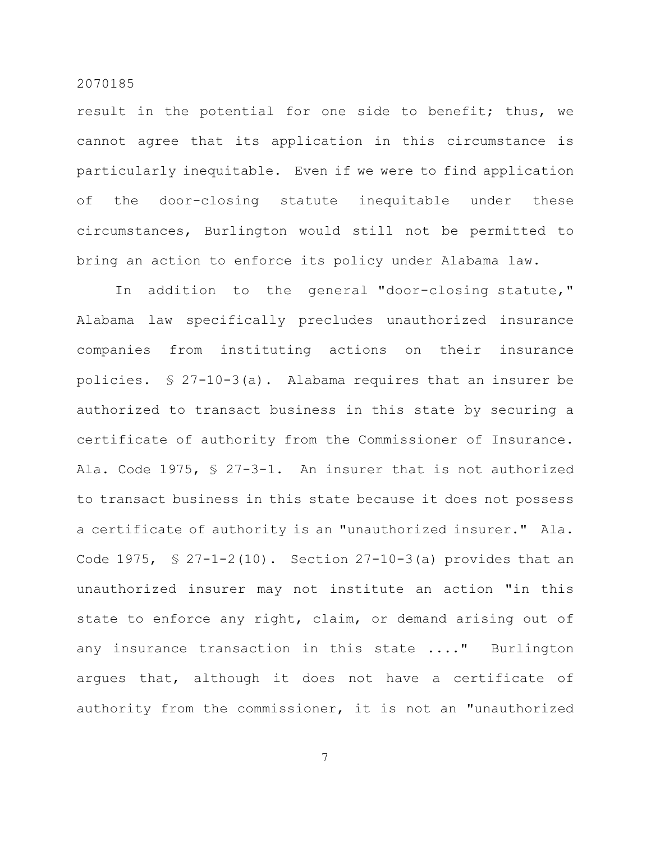result in the potential for one side to benefit; thus, we cannot agree that its application in this circumstance is particularly inequitable. Even if we were to find application of the door-closing statute inequitable under these circumstances, Burlington would still not be permitted to bring an action to enforce its policy under Alabama law.

In addition to the general "door-closing statute," Alabama law specifically precludes unauthorized insurance companies from instituting actions on their insurance policies. § 27-10-3(a). Alabama requires that an insurer be authorized to transact business in this state by securing a certificate of authority from the Commissioner of Insurance. Ala. Code 1975, § 27-3-1. An insurer that is not authorized to transact business in this state because it does not possess a certificate of authority is an "unauthorized insurer." Ala. Code 1975,  $\frac{1}{2}$  27-1-2(10). Section 27-10-3(a) provides that an unauthorized insurer may not institute an action "in this state to enforce any right, claim, or demand arising out of any insurance transaction in this state ...." Burlington argues that, although it does not have a certificate of authority from the commissioner, it is not an "unauthorized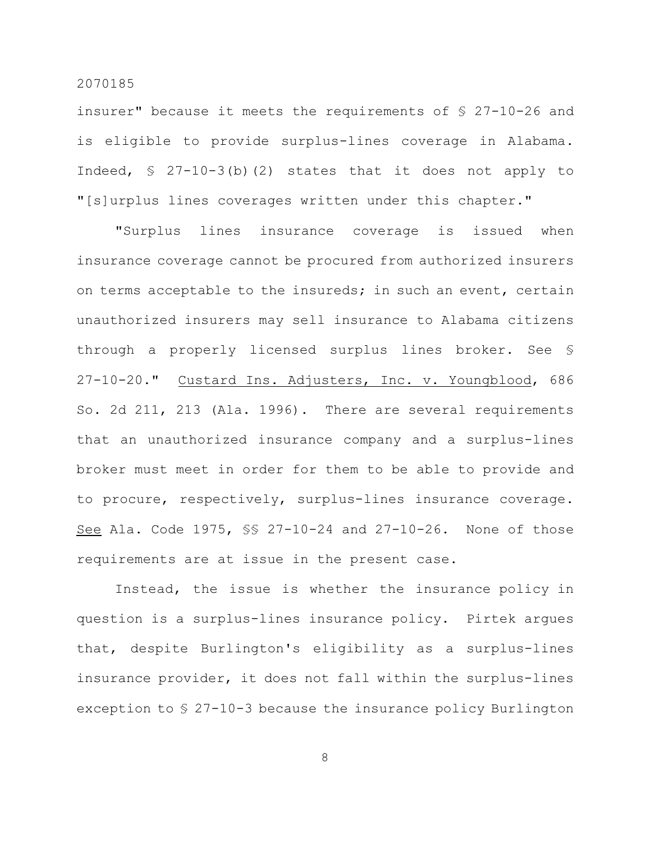insurer" because it meets the requirements of § 27-10-26 and is eligible to provide surplus-lines coverage in Alabama. Indeed,  $\frac{1}{2}$  27-10-3(b)(2) states that it does not apply to "[s]urplus lines coverages written under this chapter."

"Surplus lines insurance coverage is issued when insurance coverage cannot be procured from authorized insurers on terms acceptable to the insureds; in such an event, certain unauthorized insurers may sell insurance to Alabama citizens through a properly licensed surplus lines broker. See § 27-10-20." Custard Ins. Adjusters, Inc. v. Youngblood, 686 So. 2d 211, 213 (Ala. 1996). There are several requirements that an unauthorized insurance company and a surplus-lines broker must meet in order for them to be able to provide and to procure, respectively, surplus-lines insurance coverage. See Ala. Code 1975, §§ 27-10-24 and 27-10-26. None of those requirements are at issue in the present case.

Instead, the issue is whether the insurance policy in question is a surplus-lines insurance policy. Pirtek argues that, despite Burlington's eligibility as a surplus-lines insurance provider, it does not fall within the surplus-lines exception to § 27-10-3 because the insurance policy Burlington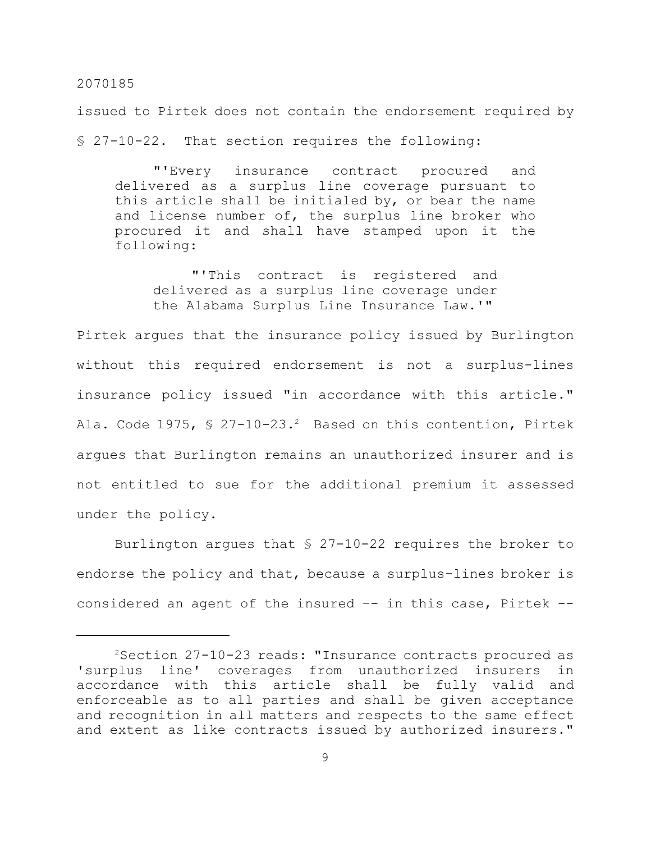issued to Pirtek does not contain the endorsement required by § 27-10-22. That section requires the following:

"'Every insurance contract procured and delivered as a surplus line coverage pursuant to this article shall be initialed by, or bear the name and license number of, the surplus line broker who procured it and shall have stamped upon it the following:

"'This contract is registered and delivered as a surplus line coverage under the Alabama Surplus Line Insurance Law.'"

Pirtek argues that the insurance policy issued by Burlington without this required endorsement is not a surplus-lines insurance policy issued "in accordance with this article." Ala. Code 1975,  $\frac{1}{2}$  27-10-23.<sup>2</sup> Based on this contention, Pirtek argues that Burlington remains an unauthorized insurer and is not entitled to sue for the additional premium it assessed under the policy.

Burlington argues that  $\S$  27-10-22 requires the broker to endorse the policy and that, because a surplus-lines broker is considered an agent of the insured -- in this case, Pirtek --

 $2$ Section 27-10-23 reads: "Insurance contracts procured as 'surplus line' coverages from unauthorized insurers in accordance with this article shall be fully valid and enforceable as to all parties and shall be given acceptance and recognition in all matters and respects to the same effect and extent as like contracts issued by authorized insurers."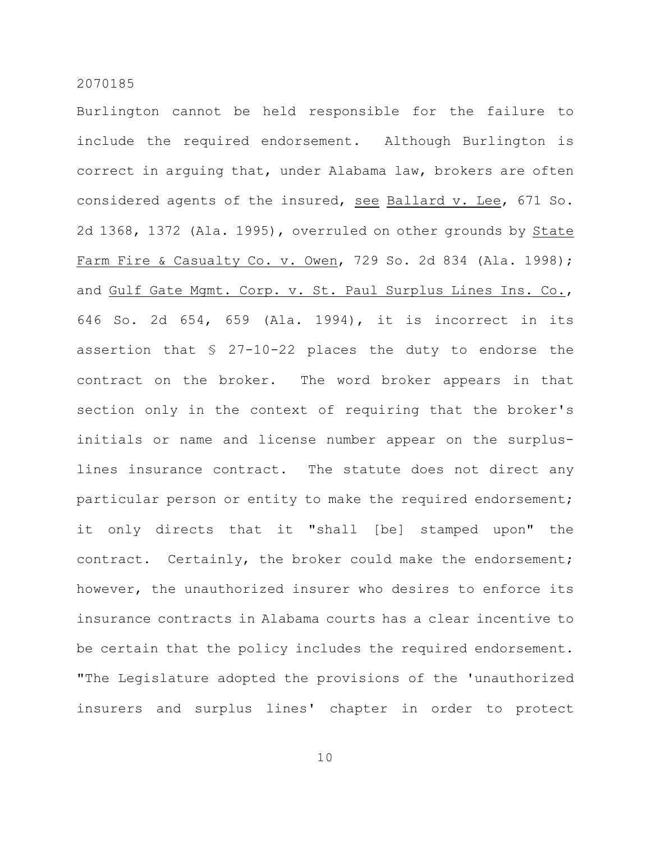Burlington cannot be held responsible for the failure to include the required endorsement. Although Burlington is correct in arguing that, under Alabama law, brokers are often considered agents of the insured, see Ballard v. Lee, 671 So. 2d 1368, 1372 (Ala. 1995), overruled on other grounds by State Farm Fire & Casualty Co. v. Owen, 729 So. 2d 834 (Ala. 1998); and Gulf Gate Mgmt. Corp. v. St. Paul Surplus Lines Ins. Co., 646 So. 2d 654, 659 (Ala. 1994), it is incorrect in its assertion that § 27-10-22 places the duty to endorse the contract on the broker. The word broker appears in that section only in the context of requiring that the broker's initials or name and license number appear on the surpluslines insurance contract. The statute does not direct any particular person or entity to make the required endorsement; it only directs that it "shall [be] stamped upon" the contract. Certainly, the broker could make the endorsement; however, the unauthorized insurer who desires to enforce its insurance contracts in Alabama courts has a clear incentive to be certain that the policy includes the required endorsement. "The Legislature adopted the provisions of the 'unauthorized insurers and surplus lines' chapter in order to protect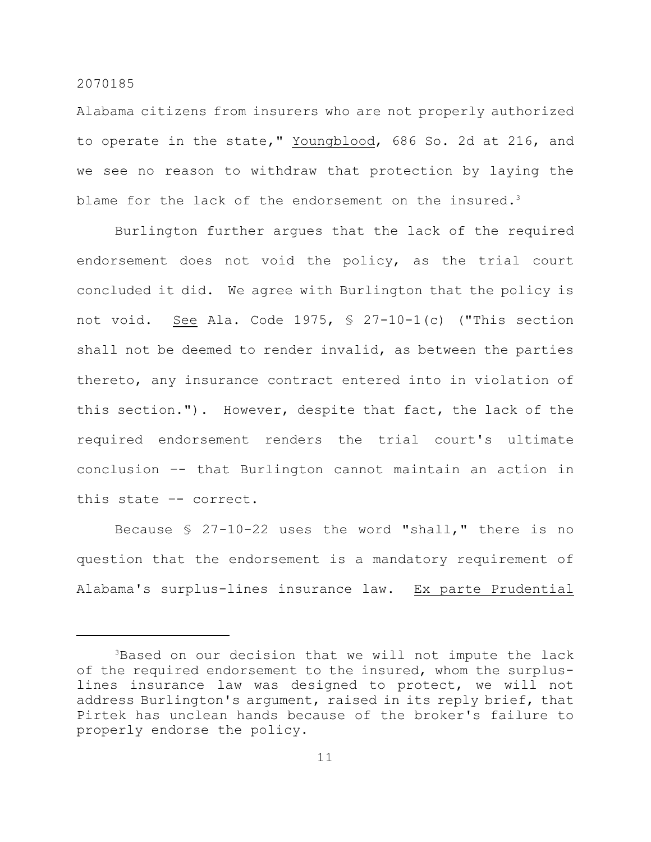Alabama citizens from insurers who are not properly authorized to operate in the state," Youngblood, 686 So. 2d at 216, and we see no reason to withdraw that protection by laying the blame for the lack of the endorsement on the insured.<sup>3</sup>

Burlington further argues that the lack of the required endorsement does not void the policy, as the trial court concluded it did. We agree with Burlington that the policy is not void. See Ala. Code 1975, § 27-10-1(c) ("This section shall not be deemed to render invalid, as between the parties thereto, any insurance contract entered into in violation of this section."). However, despite that fact, the lack of the required endorsement renders the trial court's ultimate conclusion –- that Burlington cannot maintain an action in this state –- correct.

Because § 27-10-22 uses the word "shall," there is no question that the endorsement is a mandatory requirement of Alabama's surplus-lines insurance law. Ex parte Prudential

<sup>&</sup>lt;sup>3</sup>Based on our decision that we will not impute the lack of the required endorsement to the insured, whom the surpluslines insurance law was designed to protect, we will not address Burlington's argument, raised in its reply brief, that Pirtek has unclean hands because of the broker's failure to properly endorse the policy.